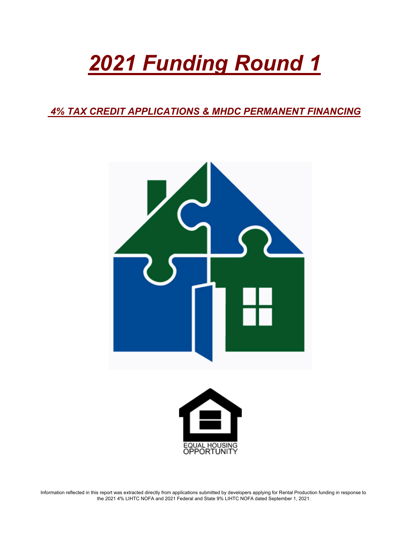# *2021 Funding Round 1*

 *4% TAX CREDIT APPLICATIONS & MHDC PERMANENT FINANCING*





Information reflected in this report was extracted directly from applications submitted by developers applying for Rental Production funding in response to the 2021 4% LIHTC NOFA and 2021 Federal and State 9% LIHTC NOFA dated September 1, 2021.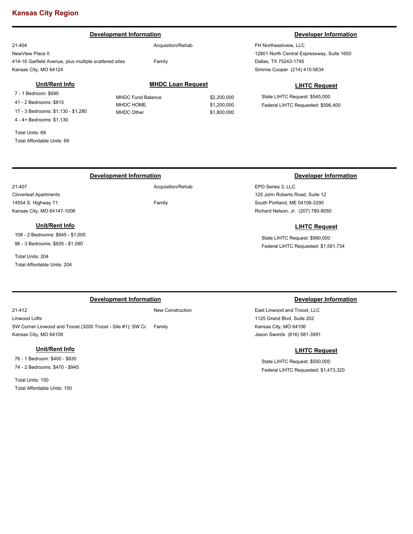# **Kansas City Region**

### 21-404 NewView Place II 414-16 Garfield Avenue, plus multiple scattered sites Kansas City, MO 64124 FH Northeastview, LLC 12801 North Central Expressway, Suite 1650 Dallas, TX 75243-1745 Acquisition/Rehab Family **Development Information Developer Information** Simmie Cooper (214) 415-5634 **LIHTC Request** State LIHTC Request: \$545,000 Federal LIHTC Requested: \$596,400 **MHDC Loan Request** MHDC Fund Balance \$2,200,000 MHDC HOME \$1,200,000 MHDC Other \$1,800,000 **Unit/Rent Info** 7 - 1 Bedroom: \$690 41 - 2 Bedrooms: \$815 17 - 3 Bedrooms: \$1,130 - \$1,280 4 - 4+ Bedrooms: \$1,130 Total Units: 69

Total Affordable Units: 69

### 21-407 Cloverleaf Apartments 14554 S. Highway 71 Kansas City, MO 64147-1006 EPD Series 3, LLC 125 John Roberts Road, Suite 12 South Portland, ME 04106-3295 Acquisition/Rehab Family **Development Information Developer Information** Richard Nelson, Jr. (207) 780-8050

### **Unit/Rent Info**

108 - 2 Bedrooms: \$845 - \$1,005 96 - 3 Bedrooms: \$935 - \$1,090

Total Units: 204 Total Affordable Units: 204

### **Development Information Developer Information**

21-412 Linwood Lofts SW Corner Linwood and Troost (3200 Troost - Site #1); SW Corner Linwood and Troost (3200 Troost - Site #1); SW Co Kansas City, MO 64109 Family

### **Unit/Rent Info**

76 - 1 Bedroom: \$400 - \$830 74 - 2 Bedrooms: \$470 - \$945

Total Units: 150 Total Affordable Units: 150

New Construction

East Linwood and Troost, LLC 1125 Grand Blvd, Suite 202 Kansas City, MO 64106

Jason Swords (816) 581-3991

**LIHTC Request**

**LIHTC Request**

State LIHTC Request: \$990,000 Federal LIHTC Requested: \$1,561,734

State LIHTC Request: \$550,000 Federal LIHTC Requested: \$1,473,320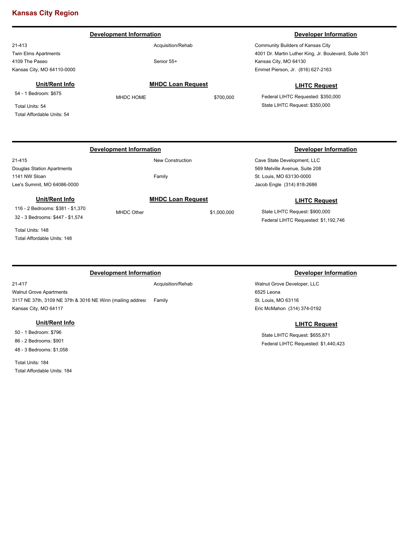# **Kansas City Region**

### 21-413 Twin Elms Apartments 4109 The Paseo Kansas City, MO 64110-0000 Community Builders of Kansas City 4001 Dr. Martin Luther King, Jr. Boulevard, Suite 301 Kansas City, MO 64130 Acquisition/Rehab Senior 55+ **Development Information Developer Information** Emmet Pierson, Jr. (816) 627-2163 **LIHTC Request** Federal LIHTC Requested: \$350,000 State LIHTC Request: \$350,000 **MHDC Loan Request** MHDC HOME \$700,000 **Unit/Rent Info** 54 - 1 Bedroom: \$675 Total Units: 54 Total Affordable Units: 54

### 21-415 Douglas Station Apartments 1141 NW Sloan Lee's Summit, MO 64086-0000

Family

## **Unit/Rent Info**

116 - 2 Bedrooms: \$381 - \$1,370 32 - 3 Bedrooms: \$447 - \$1,574

Total Units: 148 Total Affordable Units: 148

21-417

### **Development Information Developer Information**

Walnut Grove Apartments 3117 NE 37th, 3109 NE 37th & 3016 NE Winn (mailing address Kansas City, MO 64117 Family

### **Unit/Rent Info**

50 - 1 Bedroom: \$796 86 - 2 Bedrooms: \$901 48 - 3 Bedrooms: \$1,058

Total Units: 184 Total Affordable Units: 184 Acquisition/Rehab

### **Development Information Developer Information**

Cave State Development, LLC 569 Melville Avenue, Suite 208 St. Louis, MO 63130-0000 Jacob Engle (314) 818-2686

### **LIHTC Request**

State LIHTC Request: \$900,000 Federal LIHTC Requested: \$1,192,746

Walnut Grove Developer, LLC 6525 Leona St. Louis, MO 63116 Eric McMahon (314) 374-0192

### **LIHTC Request**

State LIHTC Request: \$655,871 Federal LIHTC Requested: \$1,440,423

MHDC Other \$1,000,000

New Construction

### **MHDC Loan Request**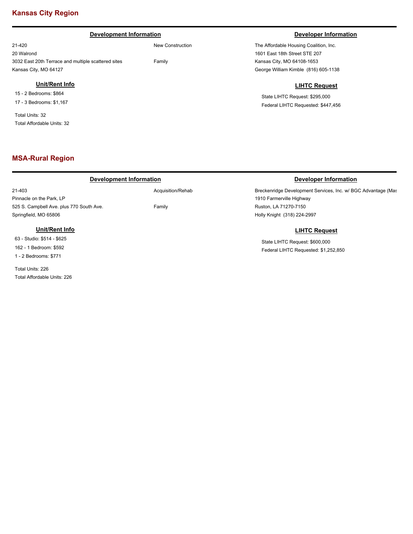# **Kansas City Region**

### **Development Information Developer Information Developer Information**

21-420 20 Walrond 3032 East 20th Terrace and multiple scattered sites Kansas City, MO 64127

### **Unit/Rent Info**

15 - 2 Bedrooms: \$864 17 - 3 Bedrooms: \$1,167

Total Units: 32 Total Affordable Units: 32

## **MSA-Rural Region**

### **Development Information Developer Information**

21-403 Pinnacle on the Park, LP 525 S. Campbell Ave. plus 770 South Ave. Springfield, MO 65806

**Unit/Rent Info**

Acquisition/Rehab

New Construction

Family

Family

The Affordable Housing Coalition, Inc. 1601 East 18th Street STE 207 Kansas City, MO 64108-1653 George William Kimble (816) 605-1138

### **LIHTC Request**

State LIHTC Request: \$295,000 Federal LIHTC Requested: \$447,456

Breckenridge Development Services, Inc. w/ BGC Advantage (Mas 1910 Farmerville Highway Ruston, LA 71270-7150 Holly Knight (318) 224-2997

### **LIHTC Request**

State LIHTC Request: \$600,000 Federal LIHTC Requested: \$1,252,850

63 - Studio: \$514 - \$625 162 - 1 Bedroom: \$592 1 - 2 Bedrooms: \$771

Total Units: 226 Total Affordable Units: 226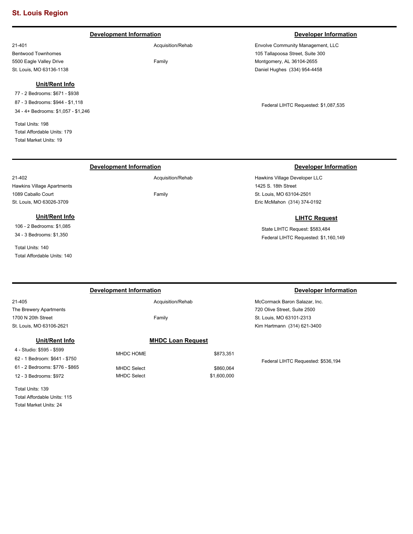### **Development Information Developer Information Developer Information**

Acquisition/Rehab

Family

Envolve Community Management, LLC 105 Tallapoosa Street, Suite 300 Montgomery, AL 36104-2655 Daniel Hughes (334) 954-4458

Federal LIHTC Requested: \$1,087,535

Hawkins Village Developer LLC 1425 S. 18th Street St. Louis, MO 63104-2501 Eric McMahon (314) 374-0192

### **LIHTC Request**

State LIHTC Request: \$583,484 Federal LIHTC Requested: \$1,160,149

|                                | Development Information | Developer Information    |                                    |
|--------------------------------|-------------------------|--------------------------|------------------------------------|
| 21-405                         | Acquisition/Rehab       |                          | McCormack Baron Salazar, Inc.      |
| The Brewery Apartments         |                         |                          | 720 Olive Street, Suite 2500       |
| 1700 N 20th Street             | Family                  |                          | St. Louis, MO 63101-2313           |
| St. Louis, MO 63106-2621       |                         |                          | Kim Hartmann (314) 621-3400        |
| Unit/Rent Info                 |                         | <b>MHDC Loan Request</b> |                                    |
| 4 - Studio: \$595 - \$599      | MHDC HOME               | \$873.351                |                                    |
| 62 - 1 Bedroom: \$641 - \$750  |                         |                          | Federal LIHTC Requested: \$536,194 |
| 61 - 2 Bedrooms: \$776 - \$865 | <b>MHDC Select</b>      | \$860.064                |                                    |
| 12 - 3 Bedrooms: \$972         | <b>MHDC Select</b>      | \$1,600,000              |                                    |
|                                |                         |                          |                                    |

21-401 Bentwood Townhomes 5500 Eagle Valley Drive St. Louis, MO 63136-1138

### **Unit/Rent Info**

77 - 2 Bedrooms: \$671 - \$938 87 - 3 Bedrooms: \$944 - \$1,118 34 - 4+ Bedrooms: \$1,057 - \$1,246

Total Units: 198 Total Affordable Units: 179 Total Market Units: 19

Hawkins Village Apartments 1089 Caballo Court St. Louis, MO 63026-3709

106 - 2 Bedrooms: \$1,085 34 - 3 Bedrooms: \$1,350

Total Affordable Units: 140

Total Units: 140

**Unit/Rent Info**

21-402

### **Development Information Developer Information**

Acquisition/Rehab

Family

Total Units: 139 Total Affordable Units: 115 Total Market Units: 24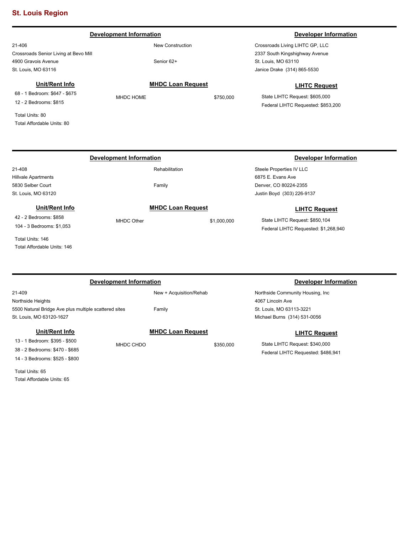Total Affordable Units: 80

### 21-406 Crossroads Senior Living at Bevo Mill 4900 Gravois Avenue St. Louis, MO 63116 Crossroads Living LIHTC GP, LLC 2337 South Kingshighway Avenue St. Louis, MO 63110 New Construction Senior 62+ **Development Information Developer Information** Janice Drake (314) 865-5530 **LIHTC Request** State LIHTC Request: \$605,000 Federal LIHTC Requested: \$853,200 **MHDC Loan Request** MHDC HOME \$750,000 **Unit/Rent Info** 68 - 1 Bedroom: \$647 - \$675 12 - 2 Bedrooms: \$815 Total Units: 80

| <b>Development Information</b> |                          |             | Developer Information                |  |
|--------------------------------|--------------------------|-------------|--------------------------------------|--|
| 21-408                         | Rehabilitation           |             | Steele Properties IV LLC             |  |
| <b>Hillvale Apartments</b>     |                          |             | 6875 E. Evans Ave                    |  |
| 5830 Selber Court              | Family                   |             | Denver, CO 80224-2355                |  |
| St. Louis, MO 63120            |                          |             | Justin Boyd (303) 226-9137           |  |
| Unit/Rent Info                 | <b>MHDC Loan Request</b> |             | <b>LIHTC Request</b>                 |  |
| 42 - 2 Bedrooms: \$858         | MHDC Other               | \$1,000,000 | State LIHTC Request: \$850,104       |  |
| 104 - 3 Bedrooms: \$1,053      |                          |             | Federal LIHTC Requested: \$1,268,940 |  |
| Total Units: 146               |                          |             |                                      |  |
| Total Affordable Units: 146    |                          |             |                                      |  |

| Development Information                                         |           |                          |           | Developer Information              |  |
|-----------------------------------------------------------------|-----------|--------------------------|-----------|------------------------------------|--|
| 21-409                                                          |           | New + Acquisition/Rehab  |           | Northside Community Housing, Inc.  |  |
| Northside Heights                                               |           |                          |           | 4067 Lincoln Ave                   |  |
| 5500 Natural Bridge Ave plus multiple scattered sites<br>Family |           |                          |           | St. Louis, MO 63113-3221           |  |
| St. Louis, MO 63120-1627                                        |           |                          |           | Michael Burns (314) 531-0056       |  |
| Unit/Rent Info                                                  |           | <b>MHDC Loan Request</b> |           | <b>LIHTC Request</b>               |  |
| 13 - 1 Bedroom: \$395 - \$500                                   | MHDC CHDO |                          | \$350,000 | State LIHTC Request: \$340,000     |  |
| 38 - 2 Bedrooms: \$470 - \$685                                  |           |                          |           | Federal LIHTC Requested: \$486,941 |  |
| 14 - 3 Bedrooms: \$525 - \$800                                  |           |                          |           |                                    |  |

Total Units: 65 Total Affordable Units: 65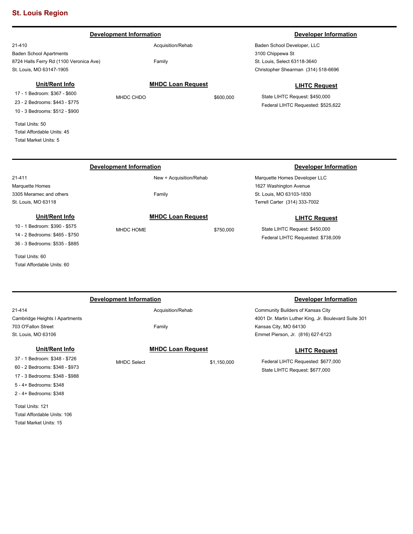### **Development Information Developer Information Developer Information**

21-410 Baden School Apartments 8724 Halls Ferry Rd (1100 Veronica Ave) St. Louis, MO 63147-1905

### **Unit/Rent Info**

17 - 1 Bedroom: \$367 - \$600 23 - 2 Bedrooms: \$443 - \$775 10 - 3 Bedrooms: \$512 - \$900

Total Units: 50 Total Affordable Units: 45 Total Market Units: 5

Total Units: 60

Total Affordable Units: 60

Acquisition/Rehab

Family

Baden School Developer, LLC 3100 Chippewa St St. Louis, Select 63118-3640 Christopher Shearman (314) 518-6696

MHDC CHDO \$600,000

### **LIHTC Request**

State LIHTC Request: \$450,000 Federal LIHTC Requested: \$525,622

### 21-411 Marquette Homes 3305 Meramec and others St. Louis, MO 63118 Marquette Homes Developer LLC 1627 Washington Avenue St. Louis, MO 63103-1830 New + Acquisition/Rehab Family **Development Information Developer Information** Terrell Carter (314) 333-7002 **LIHTC Request** State LIHTC Request: \$450,000 Federal LIHTC Requested: \$738,009 **MHDC Loan Request** MHDC HOME \$750,000 **Unit/Rent Info** 10 - 1 Bedroom: \$390 - \$575 14 - 2 Bedrooms: \$465 - \$750 36 - 3 Bedrooms: \$535 - \$885

| Development Information        |                          |             | Developer Information                                |
|--------------------------------|--------------------------|-------------|------------------------------------------------------|
| 21-414                         | Acquisition/Rehab        |             | Community Builders of Kansas City                    |
| Cambridge Heights I Apartments |                          |             | 4001 Dr. Martin Luther King, Jr. Boulevard Suite 301 |
| 703 O'Fallon Street            | Family                   |             | Kansas City, MO 64130                                |
| St. Louis, MO 63106            |                          |             | Emmet Pierson, Jr. (816) 627-6123                    |
| Unit/Rent Info                 | <b>MHDC Loan Request</b> |             | <b>LIHTC Request</b>                                 |
| 37 - 1 Bedroom: \$348 - \$726  | <b>MHDC Select</b>       | \$1,150,000 | Federal LIHTC Requested: \$677,000                   |
| 60 - 2 Bedrooms: \$348 - \$973 |                          |             | State LIHTC Request: \$677,000                       |
| 17 - 3 Bedrooms: \$348 - \$988 |                          |             |                                                      |
| 5 - 4+ Bedrooms: \$348         |                          |             |                                                      |

Total Units: 121 Total Affordable Units: 106 Total Market Units: 15

2 - 4+ Bedrooms: \$348

**MHDC Loan Request**